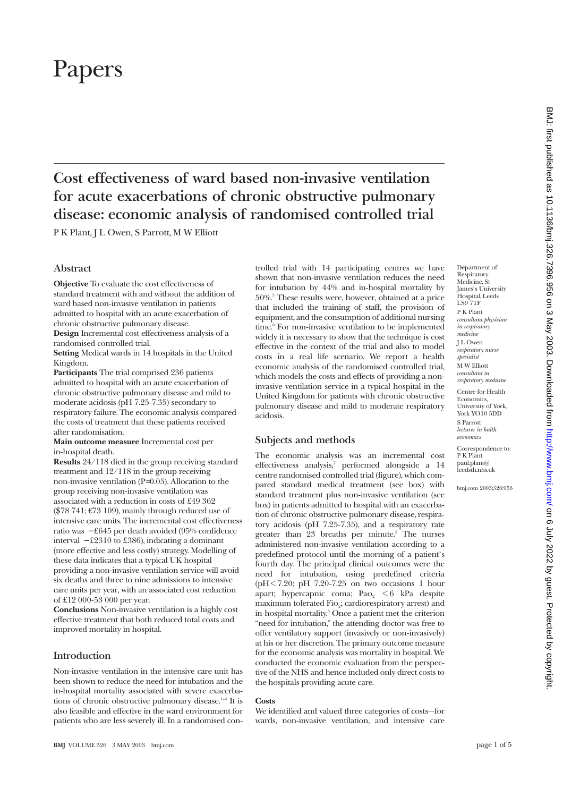# Papers

# **Cost effectiveness of ward based non-invasive ventilation for acute exacerbations of chronic obstructive pulmonary disease: economic analysis of randomised controlled trial**

P K Plant, J L Owen, S Parrott, M W Elliott

# **Abstract**

**Objective** To evaluate the cost effectiveness of standard treatment with and without the addition of ward based non-invasive ventilation in patients admitted to hospital with an acute exacerbation of chronic obstructive pulmonary disease.

**Design** Incremental cost effectiveness analysis of a randomised controlled trial.

**Setting** Medical wards in 14 hospitals in the United Kingdom.

**Participants** The trial comprised 236 patients admitted to hospital with an acute exacerbation of chronic obstructive pulmonary disease and mild to moderate acidosis (pH 7.25-7.35) secondary to respiratory failure. The economic analysis compared the costs of treatment that these patients received after randomisation.

**Main outcome measure** Incremental cost per in-hospital death.

**Results** 24/118 died in the group receiving standard treatment and 12/118 in the group receiving non-invasive ventilation (P=0.05). Allocation to the group receiving non-invasive ventilation was associated with a reduction in costs of £49 362 (\$78 741;  $\varepsilon$ 73 109), mainly through reduced use of intensive care units. The incremental cost effectiveness ratio was − £645 per death avoided (95% confidence interval − £2310 to £386), indicating a dominant (more effective and less costly) strategy. Modelling of these data indicates that a typical UK hospital providing a non-invasive ventilation service will avoid six deaths and three to nine admissions to intensive care units per year, with an associated cost reduction of £12 000-53 000 per year.

**Conclusions** Non-invasive ventilation is a highly cost effective treatment that both reduced total costs and improved mortality in hospital.

# **Introduction**

Non-invasive ventilation in the intensive care unit has been shown to reduce the need for intubation and the in-hospital mortality associated with severe exacerbations of chronic obstructive pulmonary disease.<sup>1-4</sup> It is also feasible and effective in the ward environment for patients who are less severely ill. In a randomised con-

**BMJ** VOLUME 326 3 MAY 2003 bmj.com page 1 of 5

trolled trial with 14 participating centres we have shown that non-invasive ventilation reduces the need for intubation by 44% and in-hospital mortality by 50%.5 These results were, however, obtained at a price that included the training of staff, the provision of equipment, and the consumption of additional nursing time.<sup>6</sup> For non-invasive ventilation to be implemented widely it is necessary to show that the technique is cost effective in the context of the trial and also to model costs in a real life scenario. We report a health economic analysis of the randomised controlled trial, which models the costs and effects of providing a noninvasive ventilation service in a typical hospital in the United Kingdom for patients with chronic obstructive pulmonary disease and mild to moderate respiratory acidosis.

### **Subjects and methods**

The economic analysis was an incremental cost effectiveness analysis,<sup>7</sup> performed alongside a  $14$ centre randomised controlled trial (figure), which compared standard medical treatment (see box) with standard treatment plus non-invasive ventilation (see box) in patients admitted to hospital with an exacerbation of chronic obstructive pulmonary disease, respiratory acidosis (pH 7.25-7.35), and a respiratory rate greater than  $23$  breaths per minute.<sup>5</sup> The nurses administered non-invasive ventilation according to a predefined protocol until the morning of a patient's fourth day. The principal clinical outcomes were the need for intubation, using predefined criteria (pH < 7.20; pH 7.20-7.25 on two occasions 1 hour apart; hypercapnic coma; Pao<sub>2</sub>  $\leq$  6 kPa despite maximum tolerated Fio<sub>2</sub>; cardiorespiratory arrest) and in-hospital mortality.5 Once a patient met the criterion "need for intubation," the attending doctor was free to offer ventilatory support (invasively or non-invasively) at his or her discretion. The primary outcome measure for the economic analysis was mortality in hospital. We conducted the economic evaluation from the perspective of the NHS and hence included only direct costs to the hospitals providing acute care.

#### **Costs**

We identified and valued three categories of costs—for wards, non-invasive ventilation, and intensive care Department of Respiratory Medicine, St James's University Hospital, Leeds LS9 7TF P K Plant *consultant physician in respiratory medicine* J L Owen *respiratory nurse specialist* M W Elliott *consultant in respiratory medicine* Centre for Health Economics, University of York, York YO10 5DD S Parrott

*lecturer in halth economics* Correspondence to: P K Plant

paul.plant@ leedsth.nhs.uk

bmj.com 2003;326:956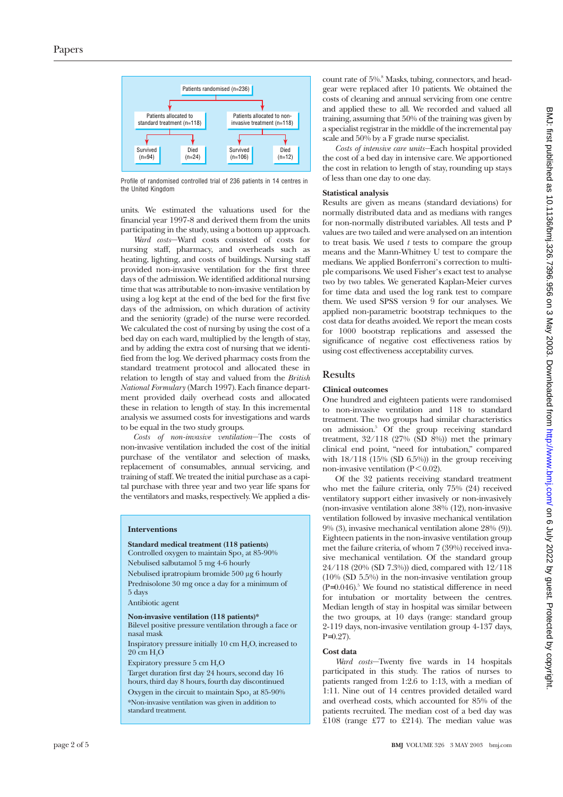

Profile of randomised controlled trial of 236 patients in 14 centres in the United Kingdom

units. We estimated the valuations used for the financial year 1997-8 and derived them from the units participating in the study, using a bottom up approach.

*Ward costs*—Ward costs consisted of costs for nursing staff, pharmacy, and overheads such as heating, lighting, and costs of buildings. Nursing staff provided non-invasive ventilation for the first three days of the admission. We identified additional nursing time that was attributable to non-invasive ventilation by using a log kept at the end of the bed for the first five days of the admission, on which duration of activity and the seniority (grade) of the nurse were recorded. We calculated the cost of nursing by using the cost of a bed day on each ward, multiplied by the length of stay, and by adding the extra cost of nursing that we identified from the log. We derived pharmacy costs from the standard treatment protocol and allocated these in relation to length of stay and valued from the *British National Formulary* (March 1997). Each finance department provided daily overhead costs and allocated these in relation to length of stay. In this incremental analysis we assumed costs for investigations and wards to be equal in the two study groups.

*Costs of non-invasive ventilation*—The costs of non-invasive ventilation included the cost of the initial purchase of the ventilator and selection of masks, replacement of consumables, annual servicing, and training of staff. We treated the initial purchase as a capital purchase with three year and two year life spans for the ventilators and masks, respectively. We applied a dis-

#### **Interventions**

**Standard medical treatment (118 patients)** Controlled oxygen to maintain Spo<sub>2</sub> at 85-90%

Nebulised salbutamol 5 mg 4-6 hourly

Nebulised ipratropium bromide 500 µg 6 hourly Prednisolone 30 mg once a day for a minimum of 5 days

Antibiotic agent

# **Non-invasive ventilation (118 patients)\***

Bilevel positive pressure ventilation through a face or nasal mask

Inspiratory pressure initially  $10 \text{ cm } H$ <sub>2</sub>O, increased to  $20 \text{ cm H}_9\text{O}$ 

Expiratory pressure 5 cm H<sub>2</sub>O

Target duration first day 24 hours, second day 16 hours, third day 8 hours, fourth day discontinued Oxygen in the circuit to maintain Spo<sub>2</sub> at 85-90% \*Non-invasive ventilation was given in addition to standard treatment.

count rate of 5%.<sup>8</sup> Masks, tubing, connectors, and headgear were replaced after 10 patients. We obtained the costs of cleaning and annual servicing from one centre and applied these to all. We recorded and valued all training, assuming that 50% of the training was given by a specialist registrar in the middle of the incremental pay scale and 50% by a F grade nurse specialist.

*Costs of intensive care units—*Each hospital provided the cost of a bed day in intensive care. We apportioned the cost in relation to length of stay, rounding up stays of less than one day to one day.

#### **Statistical analysis**

Results are given as means (standard deviations) for normally distributed data and as medians with ranges for non-normally distributed variables. All tests and P values are two tailed and were analysed on an intention to treat basis. We used *t* tests to compare the group means and the Mann-Whitney U test to compare the medians. We applied Bonferroni's correction to multiple comparisons. We used Fisher's exact test to analyse two by two tables. We generated Kaplan-Meier curves for time data and used the log rank test to compare them. We used SPSS version 9 for our analyses. We applied non-parametric bootstrap techniques to the cost data for deaths avoided. We report the mean costs for 1000 bootstrap replications and assessed the significance of negative cost effectiveness ratios by using cost effectiveness acceptability curves.

#### **Results**

#### **Clinical outcomes**

One hundred and eighteen patients were randomised to non-invasive ventilation and 118 to standard treatment. The two groups had similar characteristics on admission.5 Of the group receiving standard treatment, 32/118 (27% (SD 8%)) met the primary clinical end point, "need for intubation," compared with 18/118 (15% (SD 6.5%)) in the group receiving non-invasive ventilation ( $P < 0.02$ ).

Of the 32 patients receiving standard treatment who met the failure criteria, only 75% (24) received ventilatory support either invasively or non-invasively (non-invasive ventilation alone 38% (12), non-invasive ventilation followed by invasive mechanical ventilation 9% (3), invasive mechanical ventilation alone 28% (9)). Eighteen patients in the non-invasive ventilation group met the failure criteria, of whom 7 (39%) received invasive mechanical ventilation. Of the standard group 24/118 (20% (SD 7.3%)) died, compared with 12/118 (10% (SD 5.5%) in the non-invasive ventilation group  $(P=0.046)$ .<sup>5</sup> We found no statistical difference in need for intubation or mortality between the centres. Median length of stay in hospital was similar between the two groups, at 10 days (range: standard group 2-119 days, non-invasive ventilation group 4-137 days, P=0.27).

# **Cost data**

*Ward costs*—Twenty five wards in 14 hospitals participated in this study. The ratios of nurses to patients ranged from 1:2.6 to 1:13, with a median of 1:11. Nine out of 14 centres provided detailed ward and overhead costs, which accounted for 85% of the patients recruited. The median cost of a bed day was  $\pm 108$  (range £77 to £214). The median value was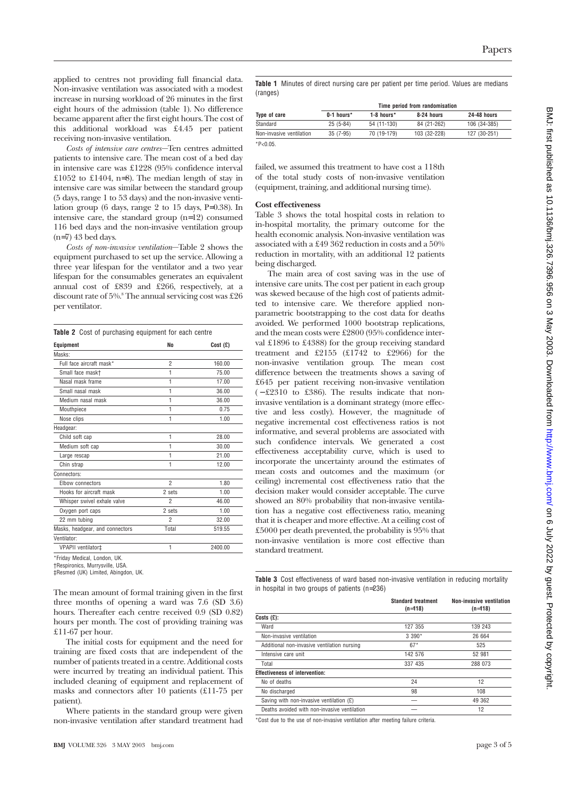applied to centres not providing full financial data. Non-invasive ventilation was associated with a modest increase in nursing workload of 26 minutes in the first eight hours of the admission (table 1). No difference became apparent after the first eight hours. The cost of this additional workload was £4.45 per patient receiving non-invasive ventilation.

*Costs of intensive care centres*—Ten centres admitted patients to intensive care. The mean cost of a bed day in intensive care was £1228 (95% confidence interval  $£1052$  to £1404, n=8). The median length of stay in intensive care was similar between the standard group (5 days, range 1 to 53 days) and the non-invasive ventilation group (6 days, range 2 to  $15$  days,  $P=0.38$ ). In intensive care, the standard group (n=12) consumed 116 bed days and the non-invasive ventilation group (n=7) 43 bed days.

*Costs of non-invasive ventilation*—Table 2 shows the equipment purchased to set up the service. Allowing a three year lifespan for the ventilator and a two year lifespan for the consumables generates an equivalent annual cost of £839 and £266, respectively, at a discount rate of  $5\%$ .<sup>8</sup> The annual servicing cost was £26 per ventilator.

**Table 2** Cost of purchasing equipment for each centre

| Equipment                       | <b>No</b>      | Cost(E) |
|---------------------------------|----------------|---------|
| Masks:                          |                |         |
| Full face aircraft mask*        | $\overline{2}$ | 160.00  |
| Small face mask+                | 1              | 75.00   |
| Nasal mask frame                | 1              | 17.00   |
| Small nasal mask                | 1              | 36.00   |
| Medium nasal mask               | 1              | 36.00   |
| Mouthpiece                      | 1              | 0.75    |
| Nose clips                      | 1              | 1.00    |
| Headgear:                       |                |         |
| Child soft cap                  | 1              | 28.00   |
| Medium soft cap                 | 1              | 30.00   |
| Large rescap                    | 1              | 21.00   |
| Chin strap                      | 1              | 12.00   |
| Connectors:                     |                |         |
| Elbow connectors                | 2              | 1.80    |
| Hooks for aircraft mask         | 2 sets         | 1.00    |
| Whisper swivel exhale valve     | $\overline{2}$ | 46.00   |
| Oxygen port caps                | 2 sets         | 1.00    |
| 22 mm tubing                    | 2              | 32.00   |
| Masks, headgear, and connectors | Total          | 519.55  |
| Ventilator:                     |                |         |
| VPAPII ventilator‡              | 1              | 2400.00 |

\*Friday Medical, London, UK.

†Respironics, Murrysville, USA.

‡Resmed (UK) Limited, Abingdon, UK.

The mean amount of formal training given in the first three months of opening a ward was 7.6 (SD 3.6) hours. Thereafter each centre received 0.9 (SD 0.82) hours per month. The cost of providing training was £11-67 per hour.

The initial costs for equipment and the need for training are fixed costs that are independent of the number of patients treated in a centre. Additional costs were incurred by treating an individual patient. This included cleaning of equipment and replacement of masks and connectors after 10 patients (£11-75 per patient).

Where patients in the standard group were given non-invasive ventilation after standard treatment had **Table 1** Minutes of direct nursing care per patient per time period. Values are medians (ranges)

|                          | Time period from randomisation |              |              |                    |  |
|--------------------------|--------------------------------|--------------|--------------|--------------------|--|
| Type of care             | $0-1$ hours*                   | $1-8$ hours* | 8-24 hours   | <b>24-48 hours</b> |  |
| Standard                 | $25(5-84)$                     | 54 (11-130)  | 84 (21-262)  | 106 (34-385)       |  |
| Non-invasive ventilation | $35(7-95)$                     | 70 (19-179)  | 103 (32-228) | 127 (30-251)       |  |
| $*P<0.05$ .              |                                |              |              |                    |  |

failed, we assumed this treatment to have cost a 118th of the total study costs of non-invasive ventilation (equipment, training, and additional nursing time).

#### **Cost effectiveness**

Table 3 shows the total hospital costs in relation to in-hospital mortality, the primary outcome for the health economic analysis. Non-invasive ventilation was associated with a £49 362 reduction in costs and a 50% reduction in mortality, with an additional 12 patients being discharged.

The main area of cost saving was in the use of intensive care units. The cost per patient in each group was skewed because of the high cost of patients admitted to intensive care. We therefore applied nonparametric bootstrapping to the cost data for deaths avoided. We performed 1000 bootstrap replications, and the mean costs were £2800 (95% confidence interval £1896 to £4388) for the group receiving standard treatment and £2155 (£1742 to £2966) for the non-invasive ventilation group. The mean cost difference between the treatments shows a saving of £645 per patient receiving non-invasive ventilation  $(-1.2310)$  to £386). The results indicate that noninvasive ventilation is a dominant strategy (more effective and less costly). However, the magnitude of negative incremental cost effectiveness ratios is not informative, and several problems are associated with such confidence intervals. We generated a cost effectiveness acceptability curve, which is used to incorporate the uncertainty around the estimates of mean costs and outcomes and the maximum (or ceiling) incremental cost effectiveness ratio that the decision maker would consider acceptable. The curve showed an 80% probability that non-invasive ventilation has a negative cost effectiveness ratio, meaning that it is cheaper and more effective. At a ceiling cost of £5000 per death prevented, the probability is 95% that non-invasive ventilation is more cost effective than standard treatment.

BMJ: first published as 10.1136/bmj.326.7396.956 on 3 May 2003. Downloaded from http://www.bmj.com/ on 6 July 2022 by guest. Protected by copyright on 6 July 2022 by guest. Protected by copyright. <http://www.bmj.com/> BMJ: first published as 10.1136/bmj.326.7396.956 on 3 May 2003. Downloaded from

**Table 3** Cost effectiveness of ward based non-invasive ventilation in reducing mortality in hospital in two groups of patients (n=236)

|                                              | Standard treatment<br>$(n=118)$ | <b>Non-invasive ventilation</b><br>$(n=118)$ |
|----------------------------------------------|---------------------------------|----------------------------------------------|
| Costs(E):                                    |                                 |                                              |
| Ward                                         | 127 355                         | 139 243                                      |
| Non-invasive ventilation                     | $3.390*$                        | 26 664                                       |
| Additional non-invasive ventilation nursing  | $67*$                           | 525                                          |
| Intensive care unit                          | 142 576                         | 52 981                                       |
| Total                                        | 337 435                         | 288 073                                      |
| <b>Effectiveness of intervention:</b>        |                                 |                                              |
| No of deaths                                 | 24                              | 12                                           |
| No discharged                                | 98                              | 108                                          |
| Saving with non-invasive ventilation $(E)$   |                                 | 49 362                                       |
| Deaths avoided with non-invasive ventilation |                                 | 12                                           |
|                                              |                                 |                                              |

\*Cost due to the use of non-invasive ventilation after meeting failure criteria.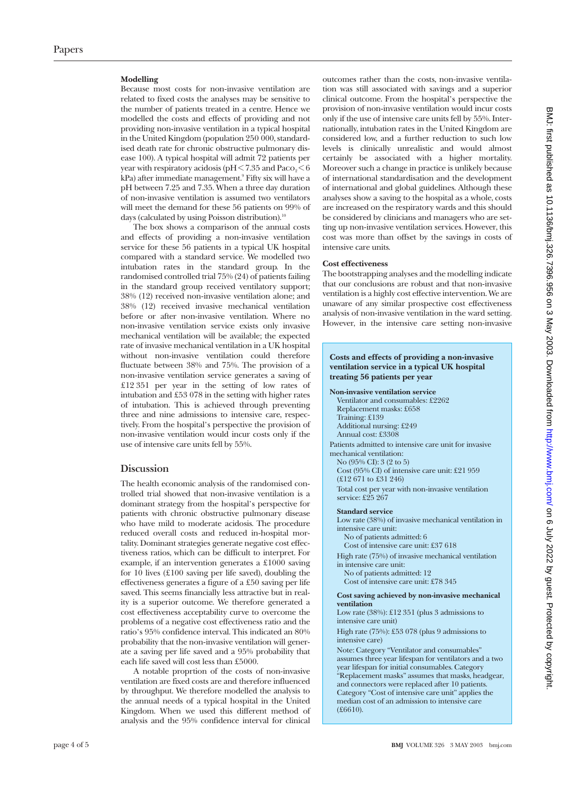#### **Modelling**

Because most costs for non-invasive ventilation are related to fixed costs the analyses may be sensitive to the number of patients treated in a centre. Hence we modelled the costs and effects of providing and not providing non-invasive ventilation in a typical hospital in the United Kingdom (population 250 000, standardised death rate for chronic obstructive pulmonary disease 100). A typical hospital will admit 72 patients per year with respiratory acidosis (pH < 7.35 and Paco<sub>2</sub> < 6 kPa) after immediate management.<sup>9</sup> Fifty six will have a pH between 7.25 and 7.35. When a three day duration of non-invasive ventilation is assumed two ventilators will meet the demand for these 56 patients on 99% of days (calculated by using Poisson distribution).<sup>10</sup>

The box shows a comparison of the annual costs and effects of providing a non-invasive ventilation service for these 56 patients in a typical UK hospital compared with a standard service. We modelled two intubation rates in the standard group. In the randomised controlled trial 75% (24) of patients failing in the standard group received ventilatory support; 38% (12) received non-invasive ventilation alone; and 38% (12) received invasive mechanical ventilation before or after non-invasive ventilation. Where no non-invasive ventilation service exists only invasive mechanical ventilation will be available; the expected rate of invasive mechanical ventilation in a UK hospital without non-invasive ventilation could therefore fluctuate between 38% and 75%. The provision of a non-invasive ventilation service generates a saving of £12 351 per year in the setting of low rates of intubation and £53 078 in the setting with higher rates of intubation. This is achieved through preventing three and nine admissions to intensive care, respectively. From the hospital's perspective the provision of non-invasive ventilation would incur costs only if the use of intensive care units fell by 55%.

# **Discussion**

The health economic analysis of the randomised controlled trial showed that non-invasive ventilation is a dominant strategy from the hospital's perspective for patients with chronic obstructive pulmonary disease who have mild to moderate acidosis. The procedure reduced overall costs and reduced in-hospital mortality. Dominant strategies generate negative cost effectiveness ratios, which can be difficult to interpret. For example, if an intervention generates a £1000 saving for 10 lives (£100 saving per life saved), doubling the effectiveness generates a figure of a £50 saving per life saved. This seems financially less attractive but in reality is a superior outcome. We therefore generated a cost effectiveness acceptability curve to overcome the problems of a negative cost effectiveness ratio and the ratio's 95% confidence interval. This indicated an 80% probability that the non-invasive ventilation will generate a saving per life saved and a 95% probability that each life saved will cost less than £5000.

A notable proprtion of the costs of non-invasive ventilation are fixed costs are and therefore influenced by throughput. We therefore modelled the analysis to the annual needs of a typical hospital in the United Kingdom. When we used this different method of analysis and the 95% confidence interval for clinical

outcomes rather than the costs, non-invasive ventilation was still associated with savings and a superior clinical outcome. From the hospital's perspective the provision of non-invasive ventilation would incur costs only if the use of intensive care units fell by 55%. Internationally, intubation rates in the United Kingdom are considered low, and a further reduction to such low levels is clinically unrealistic and would almost certainly be associated with a higher mortality. Moreover such a change in practice is unlikely because of international standardisation and the development of international and global guidelines. Although these analyses show a saving to the hospital as a whole, costs are increased on the respiratory wards and this should be considered by clinicians and managers who are setting up non-invasive ventilation services. However, this cost was more than offset by the savings in costs of intensive care units.

#### **Cost effectiveness**

The bootstrapping analyses and the modelling indicate that our conclusions are robust and that non-invasive ventilation is a highly cost effective intervention. We are unaware of any similar prospective cost effectiveness analysis of non-invasive ventilation in the ward setting. However, in the intensive care setting non-invasive

#### **Costs and effects of providing a non-invasive ventilation service in a typical UK hospital treating 56 patients per year**

**Non-invasive ventilation service**

Ventilator and consumables: £2262 Replacement masks: £658 Training: £139 Additional nursing: £249 Annual cost: £3308

Patients admitted to intensive care unit for invasive mechanical ventilation:

- No (95% CI): 3 (2 to 5) Cost (95% CI) of intensive care unit: £21 959 (£12 671 to £31 246)
- Total cost per year with non-invasive ventilation  $s$ ervice:  $f95967$

#### **Standard service**

Low rate (38%) of invasive mechanical ventilation in intensive care unit:

No of patients admitted: 6 Cost of intensive care unit: £37 618 High rate (75%) of invasive mechanical ventilation

- in intensive care unit:
- No of patients admitted: 12 Cost of intensive care unit: £78 345

#### **Cost saving achieved by non-invasive mechanical ventilation**

Low rate (38%): £12 351 (plus 3 admissions to intensive care unit)

High rate (75%): £53 078 (plus 9 admissions to intensive care)

Note: Category "Ventilator and consumables" assumes three year lifespan for ventilators and a two year lifespan for initial consumables. Category "Replacement masks" assumes that masks, headgear, and connectors were replaced after 10 patients. Category "Cost of intensive care unit" applies the median cost of an admission to intensive care (£6610).